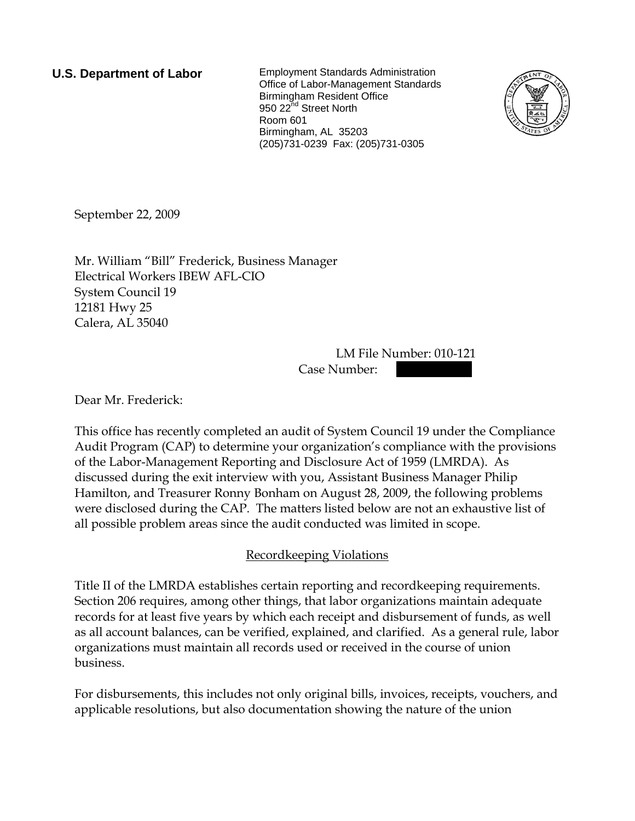**U.S. Department of Labor** Employment Standards Administration Office of Labor-Management Standards Birmingham Resident Office 950 22<sup>nd</sup> Street North Room 601 Birmingham, AL 35203 (205)731-0239 Fax: (205)731-0305



September 22, 2009

Mr. William "Bill" Frederick, Business Manager Electrical Workers IBEW AFL-CIO System Council 19 12181 Hwy 25 Calera, AL 35040

> LM File Number: 010-121 Case Number:

Dear Mr. Frederick:

This office has recently completed an audit of System Council 19 under the Compliance Audit Program (CAP) to determine your organization's compliance with the provisions of the Labor-Management Reporting and Disclosure Act of 1959 (LMRDA). As discussed during the exit interview with you, Assistant Business Manager Philip Hamilton, and Treasurer Ronny Bonham on August 28, 2009, the following problems were disclosed during the CAP. The matters listed below are not an exhaustive list of all possible problem areas since the audit conducted was limited in scope.

# Recordkeeping Violations

Title II of the LMRDA establishes certain reporting and recordkeeping requirements. Section 206 requires, among other things, that labor organizations maintain adequate records for at least five years by which each receipt and disbursement of funds, as well as all account balances, can be verified, explained, and clarified. As a general rule, labor organizations must maintain all records used or received in the course of union business.

For disbursements, this includes not only original bills, invoices, receipts, vouchers, and applicable resolutions, but also documentation showing the nature of the union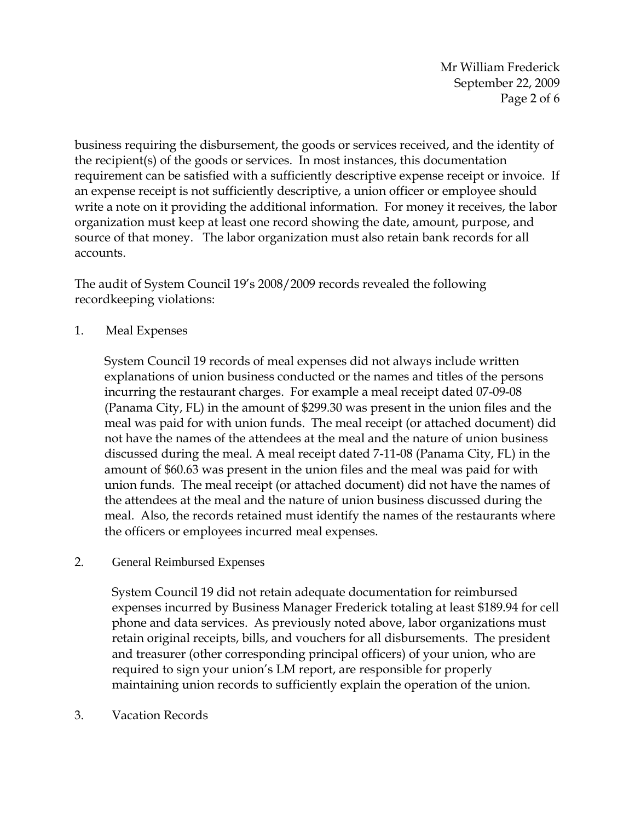Mr William Frederick September 22, 2009 Page 2 of 6

business requiring the disbursement, the goods or services received, and the identity of the recipient(s) of the goods or services. In most instances, this documentation requirement can be satisfied with a sufficiently descriptive expense receipt or invoice. If an expense receipt is not sufficiently descriptive, a union officer or employee should write a note on it providing the additional information. For money it receives, the labor organization must keep at least one record showing the date, amount, purpose, and source of that money. The labor organization must also retain bank records for all accounts.

The audit of System Council 19's 2008/2009 records revealed the following recordkeeping violations:

1. Meal Expenses

System Council 19 records of meal expenses did not always include written explanations of union business conducted or the names and titles of the persons incurring the restaurant charges. For example a meal receipt dated 07-09-08 (Panama City, FL) in the amount of \$299.30 was present in the union files and the meal was paid for with union funds. The meal receipt (or attached document) did not have the names of the attendees at the meal and the nature of union business discussed during the meal. A meal receipt dated 7-11-08 (Panama City, FL) in the amount of \$60.63 was present in the union files and the meal was paid for with union funds. The meal receipt (or attached document) did not have the names of the attendees at the meal and the nature of union business discussed during the meal. Also, the records retained must identify the names of the restaurants where the officers or employees incurred meal expenses.

2. General Reimbursed Expenses

System Council 19 did not retain adequate documentation for reimbursed expenses incurred by Business Manager Frederick totaling at least \$189.94 for cell phone and data services. As previously noted above, labor organizations must retain original receipts, bills, and vouchers for all disbursements. The president and treasurer (other corresponding principal officers) of your union, who are required to sign your union's LM report, are responsible for properly maintaining union records to sufficiently explain the operation of the union.

3. Vacation Records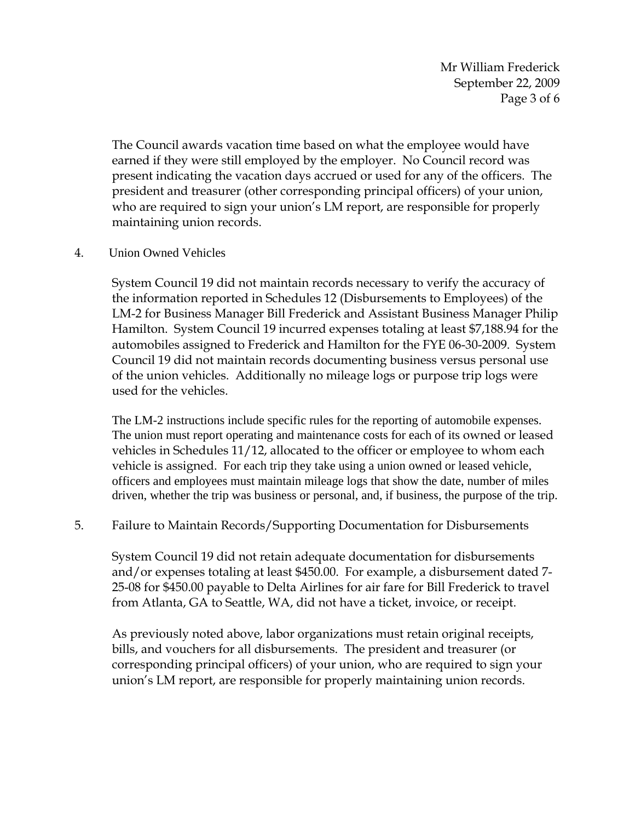Mr William Frederick September 22, 2009 Page 3 of 6

The Council awards vacation time based on what the employee would have earned if they were still employed by the employer. No Council record was present indicating the vacation days accrued or used for any of the officers. The president and treasurer (other corresponding principal officers) of your union, who are required to sign your union's LM report, are responsible for properly maintaining union records.

#### 4. Union Owned Vehicles

System Council 19 did not maintain records necessary to verify the accuracy of the information reported in Schedules 12 (Disbursements to Employees) of the LM-2 for Business Manager Bill Frederick and Assistant Business Manager Philip Hamilton. System Council 19 incurred expenses totaling at least \$7,188.94 for the automobiles assigned to Frederick and Hamilton for the FYE 06-30-2009. System Council 19 did not maintain records documenting business versus personal use of the union vehicles. Additionally no mileage logs or purpose trip logs were used for the vehicles.

The LM-2 instructions include specific rules for the reporting of automobile expenses. The union must report operating and maintenance costs for each of its owned or leased vehicles in Schedules 11/12, allocated to the officer or employee to whom each vehicle is assigned. For each trip they take using a union owned or leased vehicle, officers and employees must maintain mileage logs that show the date, number of miles driven, whether the trip was business or personal, and, if business, the purpose of the trip.

### 5. Failure to Maintain Records/Supporting Documentation for Disbursements

System Council 19 did not retain adequate documentation for disbursements and/or expenses totaling at least \$450.00. For example, a disbursement dated 7- 25-08 for \$450.00 payable to Delta Airlines for air fare for Bill Frederick to travel from Atlanta, GA to Seattle, WA, did not have a ticket, invoice, or receipt.

As previously noted above, labor organizations must retain original receipts, bills, and vouchers for all disbursements. The president and treasurer (or corresponding principal officers) of your union, who are required to sign your union's LM report, are responsible for properly maintaining union records.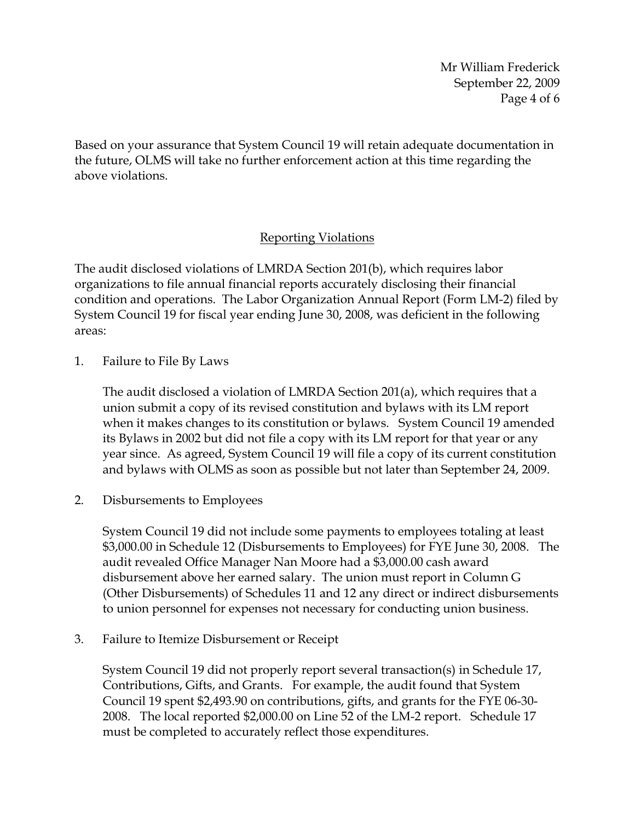Mr William Frederick September 22, 2009 Page 4 of 6

Based on your assurance that System Council 19 will retain adequate documentation in the future, OLMS will take no further enforcement action at this time regarding the above violations.

# Reporting Violations

The audit disclosed violations of LMRDA Section 201(b), which requires labor organizations to file annual financial reports accurately disclosing their financial condition and operations. The Labor Organization Annual Report (Form LM-2) filed by System Council 19 for fiscal year ending June 30, 2008, was deficient in the following areas:

1. Failure to File By Laws

The audit disclosed a violation of LMRDA Section 201(a), which requires that a union submit a copy of its revised constitution and bylaws with its LM report when it makes changes to its constitution or bylaws. System Council 19 amended its Bylaws in 2002 but did not file a copy with its LM report for that year or any year since. As agreed, System Council 19 will file a copy of its current constitution and bylaws with OLMS as soon as possible but not later than September 24, 2009.

2. Disbursements to Employees

System Council 19 did not include some payments to employees totaling at least \$3,000.00 in Schedule 12 (Disbursements to Employees) for FYE June 30, 2008. The audit revealed Office Manager Nan Moore had a \$3,000.00 cash award disbursement above her earned salary. The union must report in Column G (Other Disbursements) of Schedules 11 and 12 any direct or indirect disbursements to union personnel for expenses not necessary for conducting union business.

3. Failure to Itemize Disbursement or Receipt

System Council 19 did not properly report several transaction(s) in Schedule 17, Contributions, Gifts, and Grants. For example, the audit found that System Council 19 spent \$2,493.90 on contributions, gifts, and grants for the FYE 06-30- 2008. The local reported \$2,000.00 on Line 52 of the LM-2 report. Schedule 17 must be completed to accurately reflect those expenditures.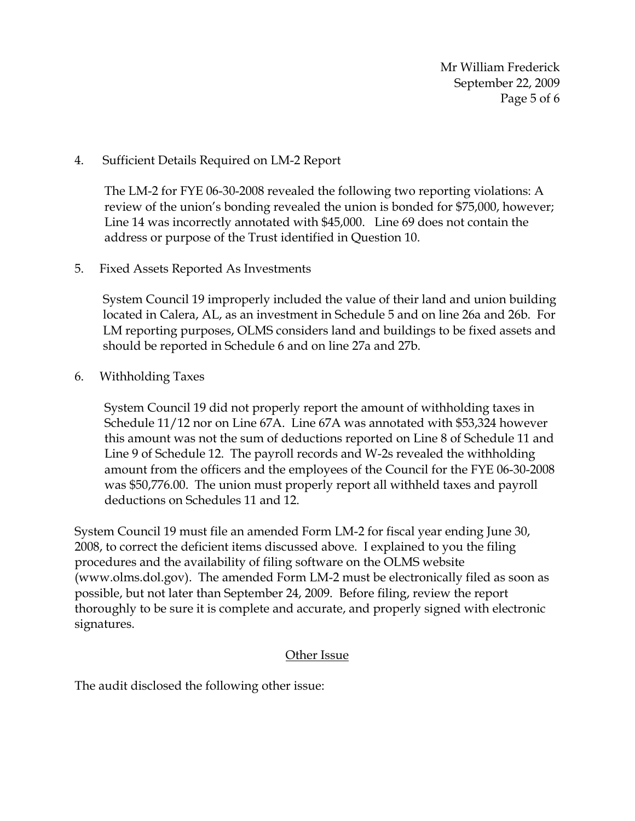Mr William Frederick September 22, 2009 Page 5 of 6

### 4. Sufficient Details Required on LM-2 Report

The LM-2 for FYE 06-30-2008 revealed the following two reporting violations: A review of the union's bonding revealed the union is bonded for \$75,000, however; Line 14 was incorrectly annotated with \$45,000. Line 69 does not contain the address or purpose of the Trust identified in Question 10.

5. Fixed Assets Reported As Investments

System Council 19 improperly included the value of their land and union building located in Calera, AL, as an investment in Schedule 5 and on line 26a and 26b. For LM reporting purposes, OLMS considers land and buildings to be fixed assets and should be reported in Schedule 6 and on line 27a and 27b.

6. Withholding Taxes

System Council 19 did not properly report the amount of withholding taxes in Schedule 11/12 nor on Line 67A. Line 67A was annotated with \$53,324 however this amount was not the sum of deductions reported on Line 8 of Schedule 11 and Line 9 of Schedule 12. The payroll records and W-2s revealed the withholding amount from the officers and the employees of the Council for the FYE 06-30-2008 was \$50,776.00. The union must properly report all withheld taxes and payroll deductions on Schedules 11 and 12.

System Council 19 must file an amended Form LM-2 for fiscal year ending June 30, 2008, to correct the deficient items discussed above. I explained to you the filing procedures and the availability of filing software on the OLMS website (www.olms.dol.gov). The amended Form LM-2 must be electronically filed as soon as possible, but not later than September 24, 2009. Before filing, review the report thoroughly to be sure it is complete and accurate, and properly signed with electronic signatures.

### Other Issue

The audit disclosed the following other issue: